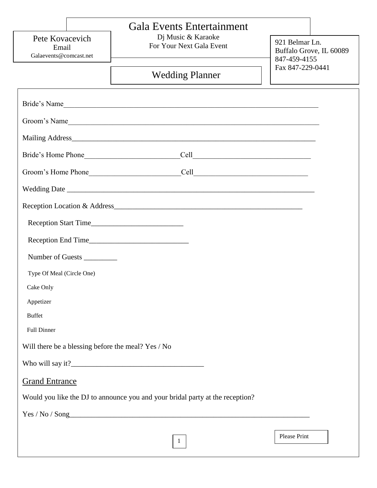| <b>Wedding Planner</b><br>Bride's Name<br>Groom's Name<br>Mailing Address <b>Mailing</b> Address <b>Mailing</b> Address <b>Mailing</b> Address <b>Mailing</b> Address <b>Mailing</b> Address <b>Mailing</b> Address <b>Mailing</b> Address <b>Mailing</b> Address <b>Mailing</b> Address <b>Mailing</b> Address <b>Mailing</b> Address <b>Mailing</b><br>Reception Start Time<br>Number of Guests __________<br>Type Of Meal (Circle One)<br>Cake Only<br>Appetizer<br><b>Buffet</b><br><b>Full Dinner</b><br>Will there be a blessing before the meal? Yes / No | Fax 847-229-0441 |
|------------------------------------------------------------------------------------------------------------------------------------------------------------------------------------------------------------------------------------------------------------------------------------------------------------------------------------------------------------------------------------------------------------------------------------------------------------------------------------------------------------------------------------------------------------------|------------------|
|                                                                                                                                                                                                                                                                                                                                                                                                                                                                                                                                                                  |                  |
|                                                                                                                                                                                                                                                                                                                                                                                                                                                                                                                                                                  |                  |
|                                                                                                                                                                                                                                                                                                                                                                                                                                                                                                                                                                  |                  |
|                                                                                                                                                                                                                                                                                                                                                                                                                                                                                                                                                                  |                  |
|                                                                                                                                                                                                                                                                                                                                                                                                                                                                                                                                                                  |                  |
|                                                                                                                                                                                                                                                                                                                                                                                                                                                                                                                                                                  |                  |
|                                                                                                                                                                                                                                                                                                                                                                                                                                                                                                                                                                  |                  |
|                                                                                                                                                                                                                                                                                                                                                                                                                                                                                                                                                                  |                  |
|                                                                                                                                                                                                                                                                                                                                                                                                                                                                                                                                                                  |                  |
|                                                                                                                                                                                                                                                                                                                                                                                                                                                                                                                                                                  |                  |
|                                                                                                                                                                                                                                                                                                                                                                                                                                                                                                                                                                  |                  |
|                                                                                                                                                                                                                                                                                                                                                                                                                                                                                                                                                                  |                  |
|                                                                                                                                                                                                                                                                                                                                                                                                                                                                                                                                                                  |                  |
|                                                                                                                                                                                                                                                                                                                                                                                                                                                                                                                                                                  |                  |
|                                                                                                                                                                                                                                                                                                                                                                                                                                                                                                                                                                  |                  |
|                                                                                                                                                                                                                                                                                                                                                                                                                                                                                                                                                                  |                  |
|                                                                                                                                                                                                                                                                                                                                                                                                                                                                                                                                                                  |                  |
|                                                                                                                                                                                                                                                                                                                                                                                                                                                                                                                                                                  |                  |
| <b>Grand Entrance</b>                                                                                                                                                                                                                                                                                                                                                                                                                                                                                                                                            |                  |
| Would you like the DJ to announce you and your bridal party at the reception?                                                                                                                                                                                                                                                                                                                                                                                                                                                                                    |                  |
| Yes / No / Song                                                                                                                                                                                                                                                                                                                                                                                                                                                                                                                                                  |                  |
|                                                                                                                                                                                                                                                                                                                                                                                                                                                                                                                                                                  |                  |